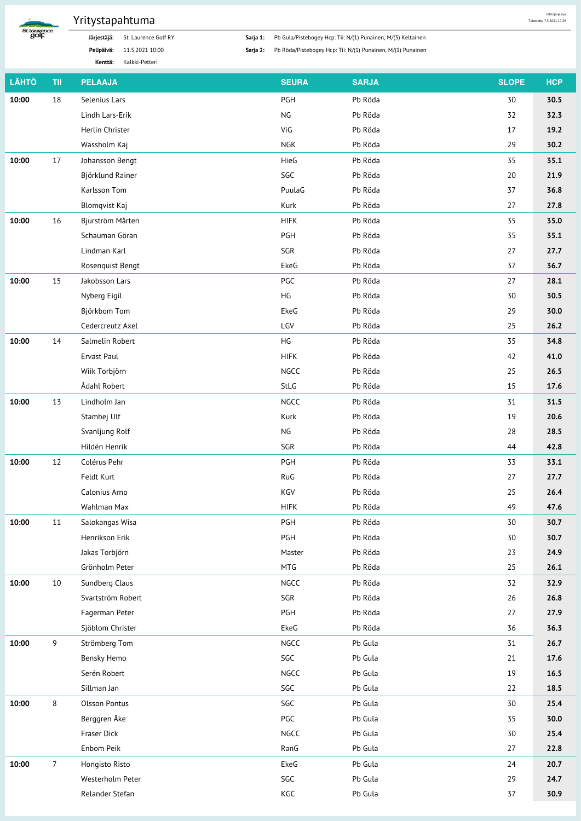

## Yritystapahtuma

Järjestäjä: St. Laurence Golf RY Pelipäivä: 11.5.2021 10:00

Kenttä: Kalkki-Petteri

Sarja 1: Pb Gula/Pistebogey Hcp: Tii: N/(1) Punainen, M/(3) Keltainen

Lähtöjärjestys<br>Tulostettu 7.5.2021 17:29

Sarja 2: Pb Röda/Pistebogey Hcp: Tii: N/(1) Punainen, M/(1) Punainen

| <b>LÄHTÖ</b> | TII            | <b>PELAAJA</b>       | <b>SEURA</b> | <b>SARJA</b> | <b>SLOPE</b> | <b>HCP</b> |
|--------------|----------------|----------------------|--------------|--------------|--------------|------------|
| 10:00        | 18             | Selenius Lars        | PGH          | Pb Röda      | 30           | 30.5       |
|              |                | Lindh Lars-Erik      | <b>NG</b>    | Pb Röda      | 32           | 32.3       |
|              |                | Herlin Christer      | ViG          | Pb Röda      | 17           | 19.2       |
|              |                | Wassholm Kaj         | <b>NGK</b>   | Pb Röda      | 29           | 30.2       |
| 10:00        | 17             | Johansson Bengt      | HieG         | Pb Röda      | 35           | 35.1       |
|              |                | Björklund Rainer     | SGC          | Pb Röda      | 20           | 21.9       |
|              |                | Karlsson Tom         | PuulaG       | Pb Röda      | 37           | 36.8       |
|              |                | <b>Blomqvist Kaj</b> | Kurk         | Pb Röda      | 27           | 27.8       |
| 10:00        | 16             | Bjurström Mårten     | <b>HIFK</b>  | Pb Röda      | 35           | 35.0       |
|              |                | Schauman Göran       | PGH          | Pb Röda      | 35           | 35.1       |
|              |                | Lindman Karl         | SGR          | Pb Röda      | 27           | 27.7       |
|              |                | Rosenquist Bengt     | EkeG         | Pb Röda      | 37           | 36.7       |
| 10:00        | 15             | Jakobsson Lars       | PGC          | Pb Röda      | 27           | 28.1       |
|              |                | Nyberg Eigil         | HG           | Pb Röda      | 30           | 30.5       |
|              |                | Björkbom Tom         | EkeG         | Pb Röda      | 29           | 30.0       |
|              |                | Cedercreutz Axel     | LGV          | Pb Röda      | 25           | 26.2       |
| 10:00        | 14             | Salmelin Robert      | HG           | Pb Röda      | 35           | 34.8       |
|              |                | Ervast Paul          | <b>HIFK</b>  | Pb Röda      | 42           | 41.0       |
|              |                | Wiik Torbjörn        | NGCC         | Pb Röda      | 25           | 26.5       |
|              |                | Ådahl Robert         | StLG         | Pb Röda      | 15           | 17.6       |
| 10:00        | 13             | Lindholm Jan         | NGCC         | Pb Röda      | 31           | 31.5       |
|              |                | Stambej Ulf          | Kurk         | Pb Röda      | 19           | 20.6       |
|              |                | Svanljung Rolf       | NG           | Pb Röda      | 28           | 28.5       |
|              |                | Hildén Henrik        | SGR          | Pb Röda      | 44           | 42.8       |
| 10:00        | 12             | Colérus Pehr         | PGH          | Pb Röda      | 33           | 33.1       |
|              |                | Feldt Kurt           | RuG          | Pb Röda      | 27           | 27.7       |
|              |                | Calonius Arno        | KGV          | Pb Röda      | 25           | 26.4       |
|              |                | Wahlman Max          | <b>HIFK</b>  | Pb Röda      | 49           | 47.6       |
| 10:00        | 11             | Salokangas Wisa      | PGH          | Pb Röda      | 30           | 30.7       |
|              |                | Henrikson Erik       | PGH          | Pb Röda      | 30           | 30.7       |
|              |                | Jakas Torbjörn       | Master       | Pb Röda      | 23           | 24.9       |
|              |                | Grönholm Peter       | MTG          | Pb Röda      | 25           | 26.1       |
| 10:00        | 10             | Sundberg Claus       | NGCC         | Pb Röda      | 32           | 32.9       |
|              |                | Svartström Robert    | SGR          | Pb Röda      | 26           | 26.8       |
|              |                | Fagerman Peter       | PGH          | Pb Röda      | 27           | 27.9       |
|              |                | Sjöblom Christer     | EkeG         | Pb Röda      | 36           | 36.3       |
| 10:00        | $\overline{9}$ | Strömberg Tom        | NGCC         | Pb Gula      | 31           | 26.7       |
|              |                | Bensky Hemo          | $SGC$        | Pb Gula      | 21           | 17.6       |
|              |                | Serén Robert         | NGCC         | Pb Gula      | 19           | 16.5       |
|              |                | Sillman Jan          | $SGC$        | Pb Gula      | 22           | 18.5       |
| 10:00        | 8              | <b>Olsson Pontus</b> | SGC          | Pb Gula      | 30           | 25.4       |
|              |                | Berggren Åke         | PGC          | Pb Gula      | 35           | 30.0       |
|              |                | Fraser Dick          | NGCC         | Pb Gula      | 30           | 25.4       |
|              |                | Enbom Peik           | RanG         | Pb Gula      | 27           | 22.8       |
| 10:00        | $\overline{7}$ | Hongisto Risto       | EkeG         | Pb Gula      | 24           | 20.7       |
|              |                | Westerholm Peter     | SGC          | Pb Gula      | 29           | 24.7       |
|              |                | Relander Stefan      | KGC          | Pb Gula      | 37           | 30.9       |